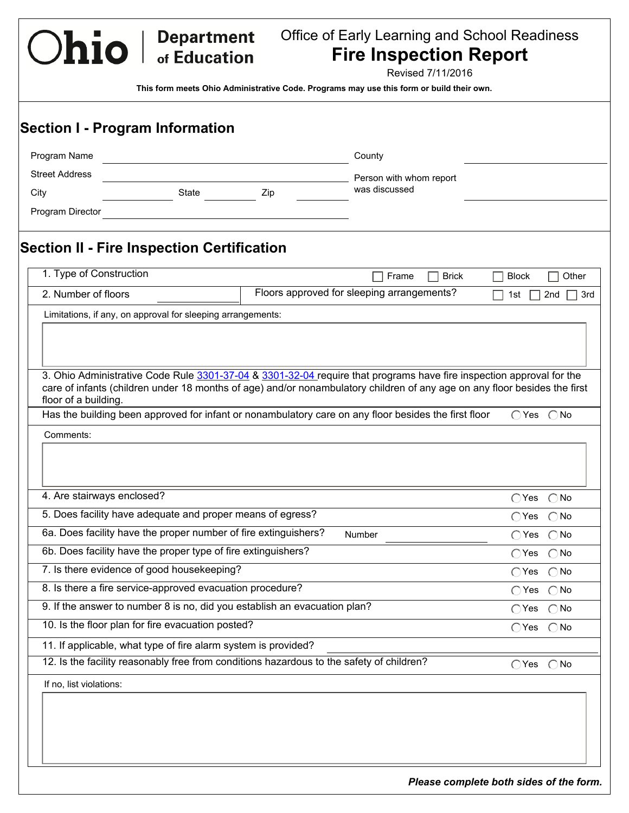Office of Early Learning and School Readiness **Fire Inspection Report**

Revised 7/11/2016

Ohio | Department

| Program Name                                                                                                                                                                                                                                                                                                                                                                  |       |     | County                                                                                               |                              |               |
|-------------------------------------------------------------------------------------------------------------------------------------------------------------------------------------------------------------------------------------------------------------------------------------------------------------------------------------------------------------------------------|-------|-----|------------------------------------------------------------------------------------------------------|------------------------------|---------------|
| <b>Street Address</b>                                                                                                                                                                                                                                                                                                                                                         |       |     | Person with whom report                                                                              |                              |               |
| City                                                                                                                                                                                                                                                                                                                                                                          | State | Zip | was discussed                                                                                        |                              |               |
| Program Director                                                                                                                                                                                                                                                                                                                                                              |       |     |                                                                                                      |                              |               |
| <b>Section II - Fire Inspection Certification</b>                                                                                                                                                                                                                                                                                                                             |       |     |                                                                                                      |                              |               |
| 1. Type of Construction                                                                                                                                                                                                                                                                                                                                                       |       |     | <b>Brick</b><br>Frame<br>$\Box$                                                                      | <b>Block</b>                 | Other         |
| 2. Number of floors                                                                                                                                                                                                                                                                                                                                                           |       |     | Floors approved for sleeping arrangements?                                                           | 1st                          | 2nd           |
| Limitations, if any, on approval for sleeping arrangements:                                                                                                                                                                                                                                                                                                                   |       |     |                                                                                                      |                              |               |
| Comments:                                                                                                                                                                                                                                                                                                                                                                     |       |     | Has the building been approved for infant or nonambulatory care on any floor besides the first floor | $\bigcirc$ Yes $\bigcirc$ No |               |
|                                                                                                                                                                                                                                                                                                                                                                               |       |     |                                                                                                      |                              |               |
|                                                                                                                                                                                                                                                                                                                                                                               |       |     |                                                                                                      |                              |               |
| 4. Are stairways enclosed?                                                                                                                                                                                                                                                                                                                                                    |       |     |                                                                                                      | $\bigcap$ Yes $\bigcap$ No   |               |
| 5. Does facility have adequate and proper means of egress?                                                                                                                                                                                                                                                                                                                    |       |     |                                                                                                      | $\bigcap$ Yes                | $\bigcap$ No  |
|                                                                                                                                                                                                                                                                                                                                                                               |       |     | Number                                                                                               | $\bigcirc$ Yes $\bigcirc$ No |               |
|                                                                                                                                                                                                                                                                                                                                                                               |       |     |                                                                                                      | $\bigcirc$ Yes               | $\bigcirc$ No |
|                                                                                                                                                                                                                                                                                                                                                                               |       |     |                                                                                                      | $\bigcirc$ Yes               | $\bigcirc$ No |
|                                                                                                                                                                                                                                                                                                                                                                               |       |     |                                                                                                      | $\bigcirc$ Yes $\bigcirc$ No |               |
|                                                                                                                                                                                                                                                                                                                                                                               |       |     |                                                                                                      | $\bigcirc$ Yes $\bigcirc$ No |               |
| 6a. Does facility have the proper number of fire extinguishers?<br>6b. Does facility have the proper type of fire extinguishers?<br>7. Is there evidence of good housekeeping?<br>8. Is there a fire service-approved evacuation procedure?<br>9. If the answer to number 8 is no, did you establish an evacuation plan?<br>10. Is the floor plan for fire evacuation posted? |       |     |                                                                                                      | $\bigcap$ Yes $\bigcap$ No   |               |
| 11. If applicable, what type of fire alarm system is provided?                                                                                                                                                                                                                                                                                                                |       |     |                                                                                                      |                              |               |
|                                                                                                                                                                                                                                                                                                                                                                               |       |     | 12. Is the facility reasonably free from conditions hazardous to the safety of children?             | $\bigcap$ Yes $\bigcap$ No   |               |